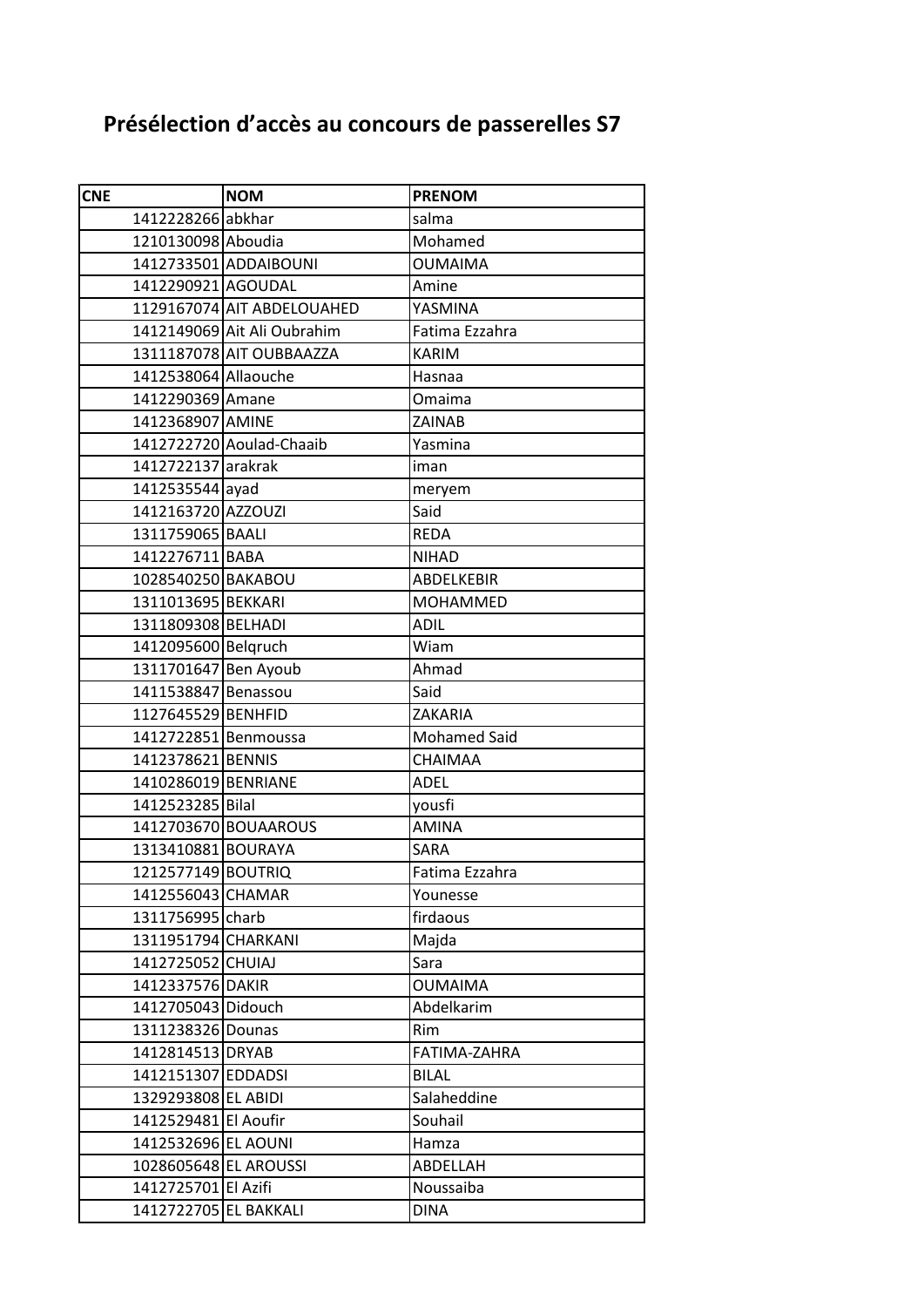## **Présélection d'accès au concours de passerelles S7**

| <b>CNE</b>            | <b>NOM</b>                  | <b>PRENOM</b>       |
|-----------------------|-----------------------------|---------------------|
| 1412228266 abkhar     |                             | salma               |
| 1210130098 Aboudia    |                             | Mohamed             |
|                       | 1412733501 ADDAIBOUNI       | <b>OUMAIMA</b>      |
| 1412290921 AGOUDAL    |                             | Amine               |
|                       | 1129167074 AIT ABDELOUAHED  | YASMINA             |
|                       | 1412149069 Ait Ali Oubrahim | Fatima Ezzahra      |
|                       | 1311187078 AIT OUBBAAZZA    | <b>KARIM</b>        |
| 1412538064 Allaouche  |                             | Hasnaa              |
| 1412290369 Amane      |                             | Omaima              |
| 1412368907 AMINE      |                             | ZAINAB              |
|                       | 1412722720 Aoulad-Chaaib    | Yasmina             |
| 1412722137 arakrak    |                             | iman                |
| 1412535544 ayad       |                             | meryem              |
| 1412163720 AZZOUZI    |                             | Said                |
| 1311759065 BAALI      |                             | <b>REDA</b>         |
| 1412276711 BABA       |                             | <b>NIHAD</b>        |
| 1028540250 BAKABOU    |                             | ABDELKEBIR          |
| 1311013695 BEKKARI    |                             | <b>MOHAMMED</b>     |
| 1311809308 BELHADI    |                             | <b>ADIL</b>         |
| 1412095600 Belgruch   |                             | Wiam                |
| 1311701647 Ben Ayoub  |                             | Ahmad               |
| 1411538847 Benassou   |                             | Said                |
| 1127645529 BENHFID    |                             | ZAKARIA             |
| 1412722851 Benmoussa  |                             | <b>Mohamed Said</b> |
| 1412378621 BENNIS     |                             | <b>CHAIMAA</b>      |
| 1410286019 BENRIANE   |                             | <b>ADEL</b>         |
| 1412523285 Bilal      |                             | yousfi              |
|                       | 1412703670 BOUAAROUS        | <b>AMINA</b>        |
| 1313410881 BOURAYA    |                             | SARA                |
| 1212577149 BOUTRIQ    |                             | Fatima Ezzahra      |
| 1412556043 CHAMAR     |                             | Younesse            |
| 1311756995 charb      |                             | firdaous            |
| 1311951794 CHARKANI   |                             | Majda               |
| 1412725052 CHUIAJ     |                             | Sara                |
| 1412337576 DAKIR      |                             | <b>OUMAIMA</b>      |
| 1412705043 Didouch    |                             | Abdelkarim          |
| 1311238326 Dounas     |                             | Rim                 |
| 1412814513 DRYAB      |                             | FATIMA-ZAHRA        |
| 1412151307 EDDADSI    |                             | <b>BILAL</b>        |
| 1329293808 EL ABIDI   |                             | Salaheddine         |
| 1412529481 El Aoufir  |                             | Souhail             |
| 1412532696 EL AOUNI   |                             | Hamza               |
| 1028605648 EL AROUSSI |                             | ABDELLAH            |
| 1412725701 El Azifi   |                             | Noussaiba           |
| 1412722705 EL BAKKALI |                             | <b>DINA</b>         |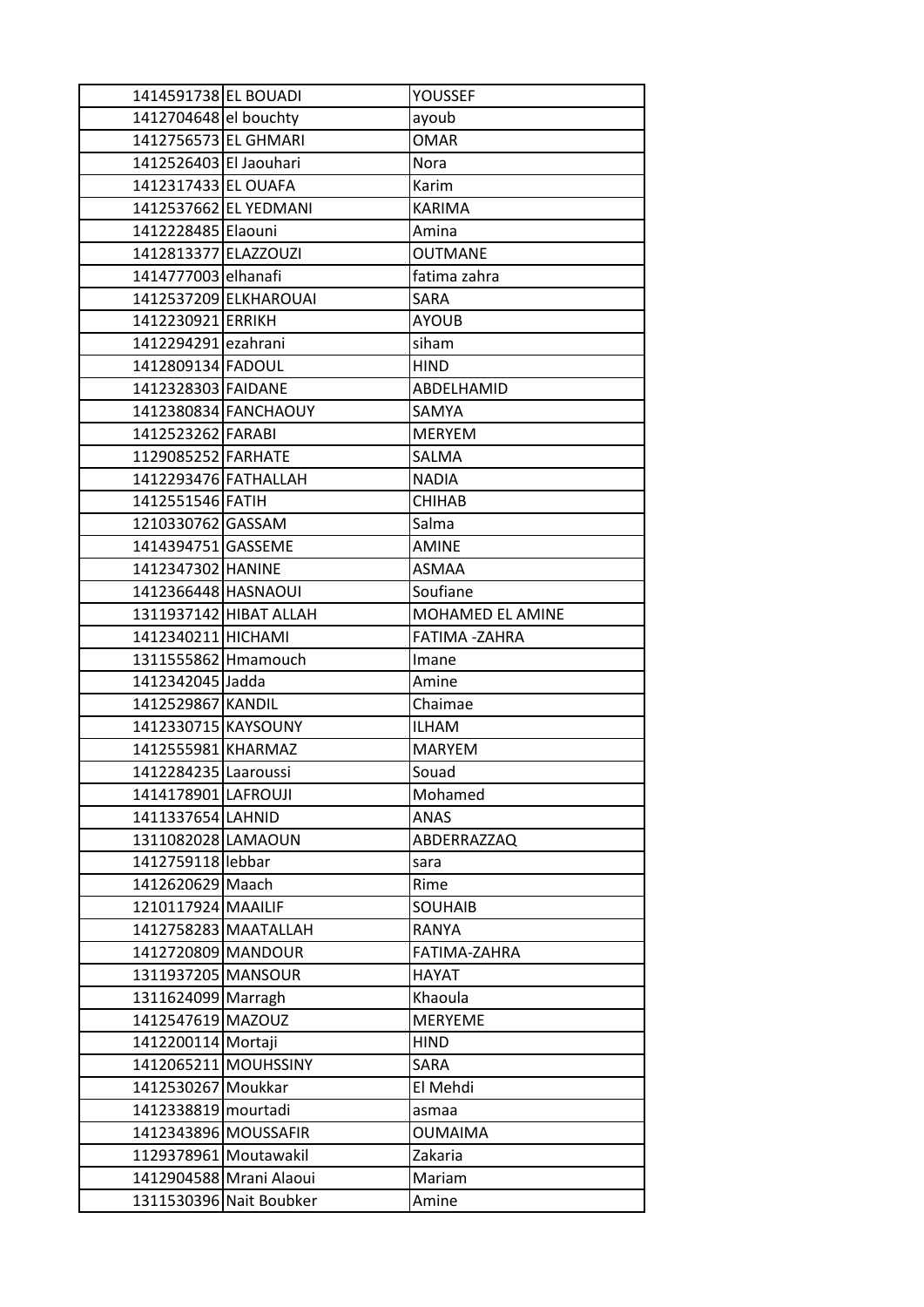| 1414591738 EL BOUADI   |                         | YOUSSEF          |
|------------------------|-------------------------|------------------|
| 1412704648 el bouchty  |                         | ayoub            |
| 1412756573 EL GHMARI   |                         | <b>OMAR</b>      |
| 1412526403 El Jaouhari |                         | Nora             |
| 1412317433 EL OUAFA    |                         | Karim            |
|                        | 1412537662 EL YEDMANI   | <b>KARIMA</b>    |
| 1412228485 Elaouni     |                         | Amina            |
| 1412813377 ELAZZOUZI   |                         | <b>OUTMANE</b>   |
| 1414777003 elhanafi    |                         | fatima zahra     |
|                        | 1412537209 ELKHAROUAI   | <b>SARA</b>      |
| 1412230921 ERRIKH      |                         | <b>AYOUB</b>     |
| 1412294291 ezahrani    |                         | siham            |
| 1412809134 FADOUL      |                         | <b>HIND</b>      |
| 1412328303 FAIDANE     |                         | ABDELHAMID       |
|                        | 1412380834 FANCHAOUY    | SAMYA            |
| 1412523262 FARABI      |                         | <b>MERYEM</b>    |
| 1129085252 FARHATE     |                         | <b>SALMA</b>     |
| 1412293476 FATHALLAH   |                         | <b>NADIA</b>     |
| 1412551546 FATIH       |                         | <b>CHIHAB</b>    |
| 1210330762 GASSAM      |                         | Salma            |
| 1414394751 GASSEME     |                         | <b>AMINE</b>     |
| 1412347302 HANINE      |                         | <b>ASMAA</b>     |
| 1412366448 HASNAOUI    |                         | Soufiane         |
|                        | 1311937142 HIBAT ALLAH  | MOHAMED EL AMINE |
| 1412340211 HICHAMI     |                         | FATIMA-ZAHRA     |
|                        |                         |                  |
|                        | 1311555862 Hmamouch     | Imane            |
| 1412342045 Jadda       |                         | Amine            |
| 1412529867 KANDIL      |                         | Chaimae          |
| 1412330715 KAYSOUNY    |                         | <b>ILHAM</b>     |
| 1412555981 KHARMAZ     |                         | <b>MARYEM</b>    |
| 1412284235 Laaroussi   |                         | Souad            |
| 1414178901 LAFROUJI    |                         | Mohamed          |
| 1411337654 LAHNID      |                         | ANAS             |
| 1311082028 LAMAOUN     |                         | ABDERRAZZAQ      |
| 1412759118 lebbar      |                         | sara             |
| 1412620629 Maach       |                         | Rime             |
| 1210117924 MAAILIF     |                         | <b>SOUHAIB</b>   |
|                        | 1412758283 MAATALLAH    | <b>RANYA</b>     |
| 1412720809 MANDOUR     |                         | FATIMA-ZAHRA     |
| 1311937205 MANSOUR     |                         | <b>HAYAT</b>     |
| 1311624099 Marragh     |                         | Khaoula          |
| 1412547619 MAZOUZ      |                         | <b>MERYEME</b>   |
| 1412200114 Mortaji     |                         | <b>HIND</b>      |
|                        | 1412065211 MOUHSSINY    | SARA             |
| 1412530267 Moukkar     |                         | El Mehdi         |
| 1412338819 mourtadi    |                         | asmaa            |
|                        | 1412343896 MOUSSAFIR    | <b>OUMAIMA</b>   |
| 1129378961 Moutawakil  |                         | Zakaria          |
|                        | 1412904588 Mrani Alaoui | Mariam           |